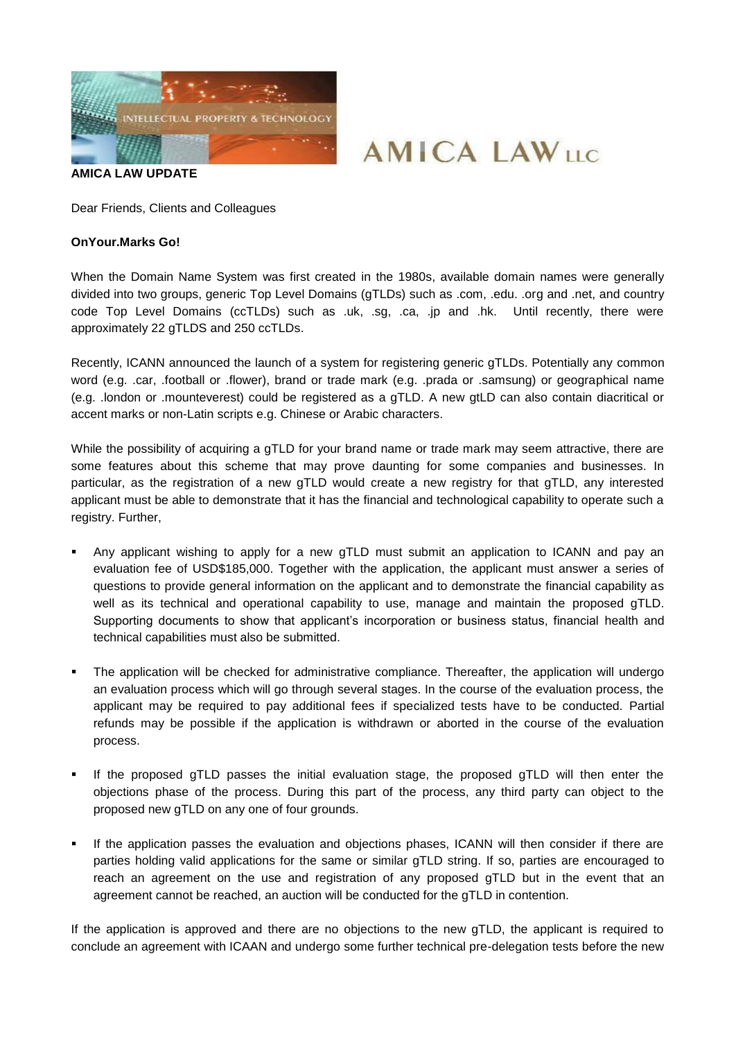

**AMICA LAW UPDATE**

Dear Friends, Clients and Colleagues

## **OnYour.Marks Go!**

When the Domain Name System was first created in the 1980s, available domain names were generally divided into two groups, generic Top Level Domains (gTLDs) such as .com, .edu. .org and .net, and country code Top Level Domains (ccTLDs) such as .uk, .sg, .ca, .jp and .hk. Until recently, there were approximately 22 gTLDS and 250 ccTLDs.

**AMICA LAWILE** 

Recently, ICANN announced the launch of a system for registering generic gTLDs. Potentially any common word (e.g. .car, .football or .flower), brand or trade mark (e.g. .prada or .samsung) or geographical name (e.g. .london or .mounteverest) could be registered as a gTLD. A new gtLD can also contain diacritical or accent marks or non-Latin scripts e.g. Chinese or Arabic characters.

While the possibility of acquiring a gTLD for your brand name or trade mark may seem attractive, there are some features about this scheme that may prove daunting for some companies and businesses. In particular, as the registration of a new gTLD would create a new registry for that gTLD, any interested applicant must be able to demonstrate that it has the financial and technological capability to operate such a registry. Further,

- Any applicant wishing to apply for a new gTLD must submit an application to ICANN and pay an evaluation fee of USD\$185,000. Together with the application, the applicant must answer a series of questions to provide general information on the applicant and to demonstrate the financial capability as well as its technical and operational capability to use, manage and maintain the proposed gTLD. Supporting documents to show that applicant's incorporation or business status, financial health and technical capabilities must also be submitted.
- The application will be checked for administrative compliance. Thereafter, the application will undergo an evaluation process which will go through several stages. In the course of the evaluation process, the applicant may be required to pay additional fees if specialized tests have to be conducted. Partial refunds may be possible if the application is withdrawn or aborted in the course of the evaluation process.
- If the proposed gTLD passes the initial evaluation stage, the proposed gTLD will then enter the objections phase of the process. During this part of the process, any third party can object to the proposed new gTLD on any one of four grounds.
- If the application passes the evaluation and objections phases, ICANN will then consider if there are parties holding valid applications for the same or similar gTLD string. If so, parties are encouraged to reach an agreement on the use and registration of any proposed gTLD but in the event that an agreement cannot be reached, an auction will be conducted for the gTLD in contention.

If the application is approved and there are no objections to the new gTLD, the applicant is required to conclude an agreement with ICAAN and undergo some further technical pre-delegation tests before the new